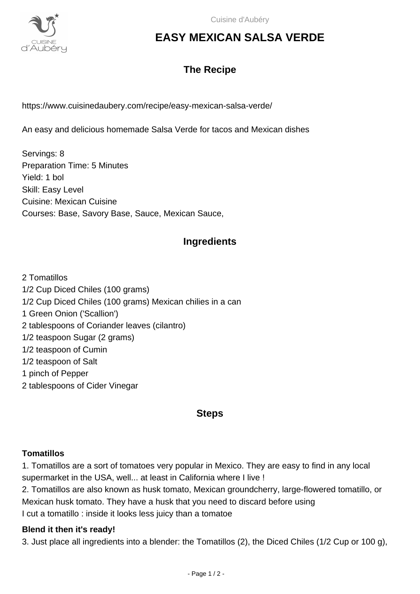

# **EASY MEXICAN SALSA VERDE**

### **The Recipe**

https://www.cuisinedaubery.com/recipe/easy-mexican-salsa-verde/

An easy and delicious homemade Salsa Verde for tacos and Mexican dishes

Servings: 8 Preparation Time: 5 Minutes Yield: 1 bol Skill: Easy Level Cuisine: Mexican Cuisine Courses: Base, Savory Base, Sauce, Mexican Sauce,

### **Ingredients**

2 Tomatillos 1/2 Cup Diced Chiles (100 grams) 1/2 Cup Diced Chiles (100 grams) Mexican chilies in a can 1 Green Onion ('Scallion') 2 tablespoons of Coriander leaves (cilantro) 1/2 teaspoon Sugar (2 grams) 1/2 teaspoon of Cumin 1/2 teaspoon of Salt 1 pinch of Pepper 2 tablespoons of Cider Vinegar

#### **Steps**

#### **Tomatillos**

1. Tomatillos are a sort of tomatoes very popular in Mexico. They are easy to find in any local supermarket in the USA, well... at least in California where I live !

2. Tomatillos are also known as husk tomato, Mexican groundcherry, large-flowered tomatillo, or Mexican husk tomato. They have a husk that you need to discard before using I cut a tomatillo : inside it looks less juicy than a tomatoe

#### **Blend it then it's ready!**

3. Just place all ingredients into a blender: the Tomatillos (2), the Diced Chiles (1/2 Cup or 100 g),